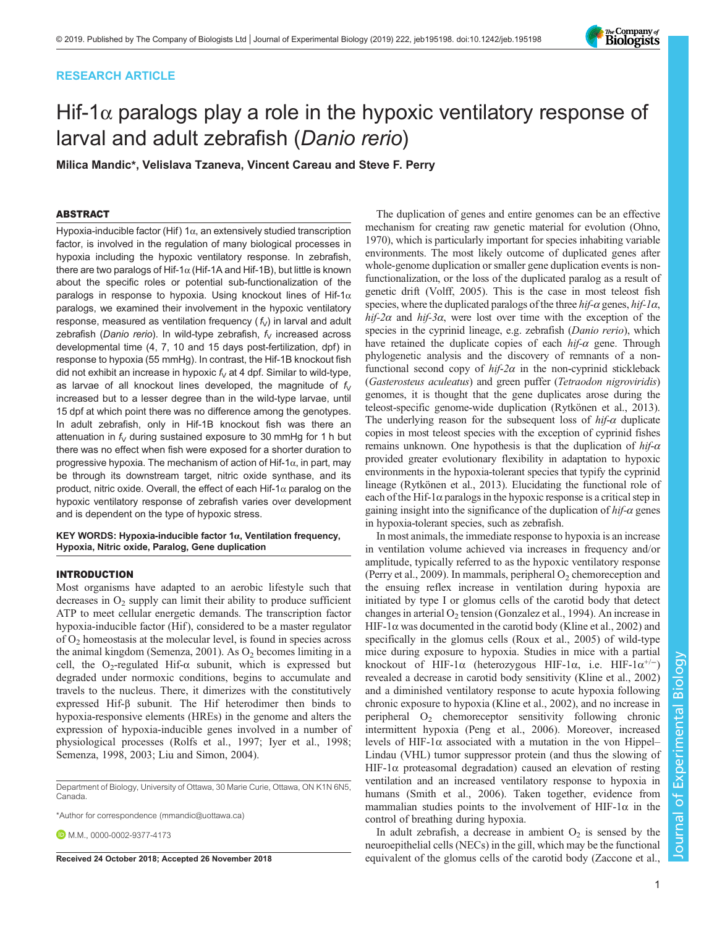# RESEARCH ARTICLE



# Hif-1 $\alpha$  paralogs play a role in the hypoxic ventilatory response of larval and adult zebrafish (Danio rerio)

Milica Mandic\*, Velislava Tzaneva, Vincent Careau and Steve F. Perry

# ABSTRACT

Hypoxia-inducible factor (Hif) 1 $\alpha$ , an extensively studied transcription factor, is involved in the regulation of many biological processes in hypoxia including the hypoxic ventilatory response. In zebrafish, there are two paralogs of Hif-1 $\alpha$  (Hif-1A and Hif-1B), but little is known about the specific roles or potential sub-functionalization of the paralogs in response to hypoxia. Using knockout lines of Hif-1 $\alpha$ paralogs, we examined their involvement in the hypoxic ventilatory response, measured as ventilation frequency  $(f<sub>v</sub>)$  in larval and adult zebrafish (Danio rerio). In wild-type zebrafish,  $f_V$  increased across developmental time (4, 7, 10 and 15 days post-fertilization, dpf) in response to hypoxia (55 mmHg). In contrast, the Hif-1B knockout fish did not exhibit an increase in hypoxic  $f_V$  at 4 dpf. Similar to wild-type, as larvae of all knockout lines developed, the magnitude of  $f_V$ increased but to a lesser degree than in the wild-type larvae, until 15 dpf at which point there was no difference among the genotypes. In adult zebrafish, only in Hif-1B knockout fish was there an attenuation in  $f_V$  during sustained exposure to 30 mmHg for 1 h but there was no effect when fish were exposed for a shorter duration to progressive hypoxia. The mechanism of action of Hif-1 $\alpha$ , in part, may be through its downstream target, nitric oxide synthase, and its product, nitric oxide. Overall, the effect of each Hif-1α paralog on the hypoxic ventilatory response of zebrafish varies over development and is dependent on the type of hypoxic stress.

## KEY WORDS: Hypoxia-inducible factor  $1\alpha$ , Ventilation frequency, Hypoxia, Nitric oxide, Paralog, Gene duplication

## INTRODUCTION

Most organisms have adapted to an aerobic lifestyle such that decreases in  $O_2$  supply can limit their ability to produce sufficient ATP to meet cellular energetic demands. The transcription factor hypoxia-inducible factor (Hif), considered to be a master regulator of  $O<sub>2</sub>$  homeostasis at the molecular level, is found in species across the animal kingdom [\(Semenza, 2001](#page-9-0)). As  $O_2$  becomes limiting in a cell, the O<sub>2</sub>-regulated Hif- $\alpha$  subunit, which is expressed but degraded under normoxic conditions, begins to accumulate and travels to the nucleus. There, it dimerizes with the constitutively expressed Hif-β subunit. The Hif heterodimer then binds to hypoxia-responsive elements (HREs) in the genome and alters the expression of hypoxia-inducible genes involved in a number of physiological processes [\(Rolfs et al., 1997; Iyer et al., 1998](#page-9-0); [Semenza, 1998](#page-9-0), [2003](#page-9-0); [Liu and Simon, 2004](#page-9-0)).

Department of Biology, University of Ottawa, 30 Marie Curie, Ottawa, ON K1N 6N5, Canada.

\*Author for correspondence [\(mmandic@uottawa.ca\)](mailto:mmandic@uottawa.ca)

**D.**M.M., [0000-0002-9377-4173](http://orcid.org/0000-0002-9377-4173)

The duplication of genes and entire genomes can be an effective mechanism for creating raw genetic material for evolution ([Ohno,](#page-9-0) [1970\)](#page-9-0), which is particularly important for species inhabiting variable environments. The most likely outcome of duplicated genes after whole-genome duplication or smaller gene duplication events is nonfunctionalization, or the loss of the duplicated paralog as a result of genetic drift [\(Volff, 2005\)](#page-9-0). This is the case in most teleost fish species, where the duplicated paralogs of the three  $hif-\alpha$  genes,  $hif-\alpha$ , hif-2 $\alpha$  and hif-3 $\alpha$ , were lost over time with the exception of the species in the cyprinid lineage, e.g. zebrafish (Danio rerio), which have retained the duplicate copies of each  $hif-\alpha$  gene. Through phylogenetic analysis and the discovery of remnants of a nonfunctional second copy of  $hif-2\alpha$  in the non-cyprinid stickleback (Gasterosteus aculeatus) and green puffer (Tetraodon nigroviridis) genomes, it is thought that the gene duplicates arose during the teleost-specific genome-wide duplication ([Rytkönen et al., 2013\)](#page-9-0). The underlying reason for the subsequent loss of  $hif-\alpha$  duplicate copies in most teleost species with the exception of cyprinid fishes remains unknown. One hypothesis is that the duplication of  $hif-\alpha$ provided greater evolutionary flexibility in adaptation to hypoxic environments in the hypoxia-tolerant species that typify the cyprinid lineage [\(Rytkönen et al., 2013](#page-9-0)). Elucidating the functional role of each of the Hif-1 $\alpha$  paralogs in the hypoxic response is a critical step in gaining insight into the significance of the duplication of  $hif-\alpha$  genes in hypoxia-tolerant species, such as zebrafish.

In most animals, the immediate response to hypoxia is an increase in ventilation volume achieved via increases in frequency and/or amplitude, typically referred to as the hypoxic ventilatory response [\(Perry et al., 2009](#page-9-0)). In mammals, peripheral  $O<sub>2</sub>$  chemoreception and the ensuing reflex increase in ventilation during hypoxia are initiated by type I or glomus cells of the carotid body that detect changes in arterial  $O_2$  tension ([Gonzalez et al., 1994\)](#page-9-0). An increase in HIF-1 $\alpha$  was documented in the carotid body [\(Kline et al., 2002](#page-9-0)) and specifically in the glomus cells ([Roux et al., 2005\)](#page-9-0) of wild-type mice during exposure to hypoxia. Studies in mice with a partial knockout of HIF-1 $\alpha$  (heterozygous HIF-1 $\alpha$ , i.e. HIF-1 $\alpha^{+/-}$ ) revealed a decrease in carotid body sensitivity ([Kline et al., 2002\)](#page-9-0) and a diminished ventilatory response to acute hypoxia following chronic exposure to hypoxia ([Kline et al., 2002\)](#page-9-0), and no increase in peripheral  $O_2$  chemoreceptor sensitivity following chronic intermittent hypoxia [\(Peng et al., 2006](#page-9-0)). Moreover, increased levels of HIF-1 $\alpha$  associated with a mutation in the von Hippel– Lindau (VHL) tumor suppressor protein (and thus the slowing of HIF-1 $\alpha$  proteasomal degradation) caused an elevation of resting ventilation and an increased ventilatory response to hypoxia in humans [\(Smith et al., 2006](#page-9-0)). Taken together, evidence from mammalian studies points to the involvement of HIF-1 $\alpha$  in the control of breathing during hypoxia.

In adult zebrafish, a decrease in ambient  $O_2$  is sensed by the neuroepithelial cells (NECs) in the gill, which may be the functional Received 24 October 2018; Accepted 26 November 2018 equivalent of the glomus cells of the carotid body [\(Zaccone et al.,](#page-9-0)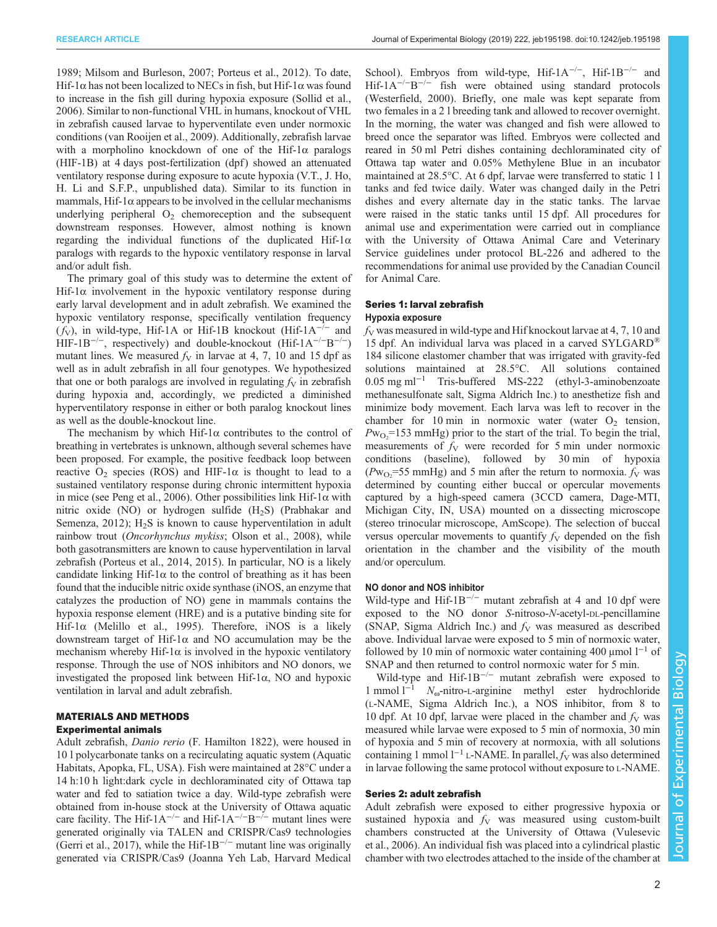[1989](#page-9-0); [Milsom and Burleson, 2007](#page-9-0); [Porteus et al., 2012](#page-9-0)). To date, Hif-1 $\alpha$  has not been localized to NECs in fish, but Hif-1 $\alpha$  was found to increase in the fish gill during hypoxia exposure ([Sollid et al.,](#page-9-0) [2006](#page-9-0)). Similar to non-functional VHL in humans, knockout of VHL in zebrafish caused larvae to hyperventilate even under normoxic conditions ([van Rooijen et al., 2009\)](#page-9-0). Additionally, zebrafish larvae with a morpholino knockdown of one of the Hif-1 $\alpha$  paralogs (HIF-1B) at 4 days post-fertilization (dpf) showed an attenuated ventilatory response during exposure to acute hypoxia (V.T., J. Ho, H. Li and S.F.P., unpublished data). Similar to its function in mammals, Hif-1 $\alpha$  appears to be involved in the cellular mechanisms underlying peripheral  $O_2$  chemoreception and the subsequent downstream responses. However, almost nothing is known regarding the individual functions of the duplicated Hif-1 $\alpha$ paralogs with regards to the hypoxic ventilatory response in larval and/or adult fish.

The primary goal of this study was to determine the extent of Hif-1 $\alpha$  involvement in the hypoxic ventilatory response during early larval development and in adult zebrafish. We examined the hypoxic ventilatory response, specifically ventilation frequency  $(f<sub>V</sub>)$ , in wild-type, Hif-1A or Hif-1B knockout (Hif-1A<sup>-/-</sup> and HIF-1B<sup>-/−</sup>, respectively) and double-knockout (Hif-1A<sup>-/−</sup>B<sup>-/−</sup>) mutant lines. We measured  $f_V$  in larvae at 4, 7, 10 and 15 dpf as well as in adult zebrafish in all four genotypes. We hypothesized that one or both paralogs are involved in regulating  $f_V$  in zebrafish during hypoxia and, accordingly, we predicted a diminished hyperventilatory response in either or both paralog knockout lines as well as the double-knockout line.

The mechanism by which Hif-1 $\alpha$  contributes to the control of breathing in vertebrates is unknown, although several schemes have been proposed. For example, the positive feedback loop between reactive  $O_2$  species (ROS) and HIF-1 $\alpha$  is thought to lead to a sustained ventilatory response during chronic intermittent hypoxia in mice (see [Peng et al., 2006](#page-9-0)). Other possibilities link Hif-1 $\alpha$  with nitric oxide (NO) or hydrogen sulfide  $(H<sub>2</sub>S)$  ([Prabhakar and](#page-9-0) Semenza,  $2012$ );  $H<sub>2</sub>S$  is known to cause hyperventilation in adult rainbow trout (Oncorhynchus mykiss; [Olson et al., 2008\)](#page-9-0), while both gasotransmitters are known to cause hyperventilation in larval zebrafish ([Porteus et al., 2014, 2015](#page-9-0)). In particular, NO is a likely candidate linking Hif-1 $\alpha$  to the control of breathing as it has been found that the inducible nitric oxide synthase (iNOS, an enzyme that catalyzes the production of NO) gene in mammals contains the hypoxia response element (HRE) and is a putative binding site for Hif-1 $\alpha$  ([Melillo et al., 1995\)](#page-9-0). Therefore, iNOS is a likely downstream target of Hif-1α and NO accumulation may be the mechanism whereby Hif-1 $\alpha$  is involved in the hypoxic ventilatory response. Through the use of NOS inhibitors and NO donors, we investigated the proposed link between Hif-1α, NO and hypoxic ventilation in larval and adult zebrafish.

# MATERIALS AND METHODS

## Experimental animals

Adult zebrafish, Danio rerio (F. Hamilton 1822), were housed in 10 l polycarbonate tanks on a recirculating aquatic system (Aquatic Habitats, Apopka, FL, USA). Fish were maintained at 28°C under a 14 h:10 h light:dark cycle in dechloraminated city of Ottawa tap water and fed to satiation twice a day. Wild-type zebrafish were obtained from in-house stock at the University of Ottawa aquatic care facility. The Hif-1A<sup>-/-</sup> and Hif-1A<sup>-/-</sup>B<sup>-/-</sup> mutant lines were generated originally via TALEN and CRISPR/Cas9 technologies [\(Gerri et al., 2017](#page-9-0)), while the Hif-1B−/<sup>−</sup> mutant line was originally generated via CRISPR/Cas9 (Joanna Yeh Lab, Harvard Medical

School). Embryos from wild-type, Hif-1A−/−, Hif-1B−/<sup>−</sup> and Hif-1A−/−B−/<sup>−</sup> fish were obtained using standard protocols [\(Westerfield, 2000\)](#page-9-0). Briefly, one male was kept separate from two females in a 2 l breeding tank and allowed to recover overnight. In the morning, the water was changed and fish were allowed to breed once the separator was lifted. Embryos were collected and reared in 50 ml Petri dishes containing dechloraminated city of Ottawa tap water and 0.05% Methylene Blue in an incubator maintained at 28.5°C. At 6 dpf, larvae were transferred to static 1 l tanks and fed twice daily. Water was changed daily in the Petri dishes and every alternate day in the static tanks. The larvae were raised in the static tanks until 15 dpf. All procedures for animal use and experimentation were carried out in compliance with the University of Ottawa Animal Care and Veterinary Service guidelines under protocol BL-226 and adhered to the recommendations for animal use provided by the Canadian Council for Animal Care.

## Series 1: larval zebrafish

#### Hypoxia exposure

 $f<sub>V</sub>$  was measured in wild-type and Hif knockout larvae at 4, 7, 10 and 15 dpf. An individual larva was placed in a carved SYLGARD® 184 silicone elastomer chamber that was irrigated with gravity-fed solutions maintained at 28.5°C. All solutions contained 0.05 mg ml−<sup>1</sup> Tris-buffered MS-222 (ethyl-3-aminobenzoate methanesulfonate salt, Sigma Aldrich Inc.) to anesthetize fish and minimize body movement. Each larva was left to recover in the chamber for 10 min in normoxic water (water  $O_2$  tension,  $Pw_{O_2}$ =153 mmHg) prior to the start of the trial. To begin the trial, measurements of  $f_V$  were recorded for 5 min under normoxic conditions (baseline), followed by 30 min of hypoxia  $(Pw_{O_2} = 55 \text{ mmHg})$  and 5 min after the return to normoxia.  $f_V$  was determined by counting either buccal or opercular movements captured by a high-speed camera (3CCD camera, Dage-MTI, Michigan City, IN, USA) mounted on a dissecting microscope (stereo trinocular microscope, AmScope). The selection of buccal versus opercular movements to quantify  $f_V$  depended on the fish orientation in the chamber and the visibility of the mouth and/or operculum.

### NO donor and NOS inhibitor

Wild-type and Hif- $1B^{-/-}$  mutant zebrafish at 4 and 10 dpf were exposed to the NO donor S-nitroso-N-acetyl-DL-pencillamine (SNAP, Sigma Aldrich Inc.) and  $f_V$  was measured as described above. Individual larvae were exposed to 5 min of normoxic water, followed by 10 min of normoxic water containing 400 µmol  $l^{-1}$  of SNAP and then returned to control normoxic water for 5 min.

Wild-type and Hif-1B<sup>-/-</sup> mutant zebrafish were exposed to 1 mmol  $l^{-1}$   $N_{\omega}$ -nitro-L-arginine methyl ester hydrochloride  $N_{\omega}$ -nitro-L-arginine methyl ester hydrochloride (L-NAME, Sigma Aldrich Inc.), a NOS inhibitor, from 8 to 10 dpf. At 10 dpf, larvae were placed in the chamber and  $f_V$  was measured while larvae were exposed to 5 min of normoxia, 30 min of hypoxia and 5 min of recovery at normoxia, with all solutions containing 1 mmol  $l^{-1}$  L-NAME. In parallel,  $f_V$  was also determined in larvae following the same protocol without exposure to L-NAME.

## Series 2: adult zebrafish

Adult zebrafish were exposed to either progressive hypoxia or sustained hypoxia and  $f_V$  was measured using custom-built chambers constructed at the University of Ottawa [\(Vulesevic](#page-9-0) [et al., 2006\)](#page-9-0). An individual fish was placed into a cylindrical plastic chamber with two electrodes attached to the inside of the chamber at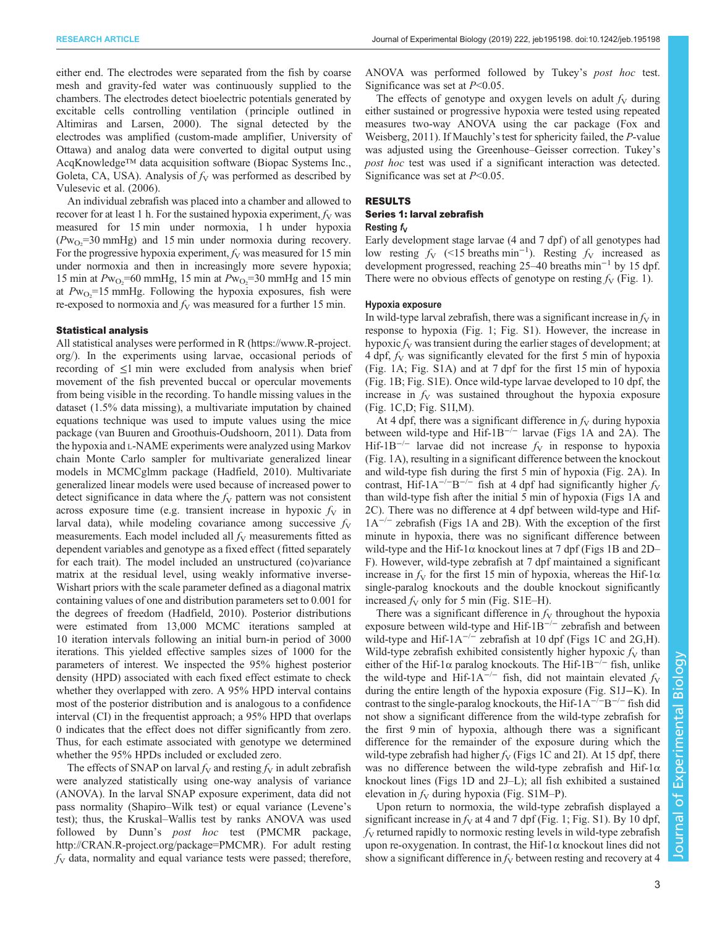either end. The electrodes were separated from the fish by coarse mesh and gravity-fed water was continuously supplied to the chambers. The electrodes detect bioelectric potentials generated by excitable cells controlling ventilation ( principle outlined in [Altimiras and Larsen, 2000\)](#page-8-0). The signal detected by the electrodes was amplified (custom-made amplifier, University of Ottawa) and analog data were converted to digital output using AcqKnowledge™ data acquisition software (Biopac Systems Inc., Goleta, CA, USA). Analysis of  $f_V$  was performed as described by [Vulesevic et al. \(2006\).](#page-9-0)

An individual zebrafish was placed into a chamber and allowed to recover for at least 1 h. For the sustained hypoxia experiment,  $f_V$  was measured for 15 min under normoxia, 1 h under hypoxia  $(Pw_{O_2}=30 \text{ mmHg})$  and 15 min under normoxia during recovery. For the progressive hypoxia experiment,  $f_V$  was measured for 15 min under normoxia and then in increasingly more severe hypoxia; 15 min at  $Pw_{O_2}$ =60 mmHg, 15 min at  $Pw_{O_2}$ =30 mmHg and 15 min at  $Pw_{O_2}$ =15 mmHg. Following the hypoxia exposures, fish were re-exposed to normoxia and  $f_V$  was measured for a further 15 min.

## Statistical analysis

All statistical analyses were performed in R ([https://www.R-project.](https://www.R-project.org/) [org/](https://www.R-project.org/)). In the experiments using larvae, occasional periods of recording of ≤1 min were excluded from analysis when brief movement of the fish prevented buccal or opercular movements from being visible in the recording. To handle missing values in the dataset (1.5% data missing), a multivariate imputation by chained equations technique was used to impute values using the mice package [\(van Buuren and Groothuis-Oudshoorn, 2011\)](#page-9-0). Data from the hypoxia and L-NAME experiments were analyzed using Markov chain Monte Carlo sampler for multivariate generalized linear models in MCMCglmm package [\(Hadfield, 2010\)](#page-9-0). Multivariate generalized linear models were used because of increased power to detect significance in data where the  $f_V$  pattern was not consistent across exposure time (e.g. transient increase in hypoxic  $f<sub>V</sub>$  in larval data), while modeling covariance among successive  $f_V$ measurements. Each model included all  $f_V$  measurements fitted as dependent variables and genotype as a fixed effect (fitted separately for each trait). The model included an unstructured (co)variance matrix at the residual level, using weakly informative inverse-Wishart priors with the scale parameter defined as a diagonal matrix containing values of one and distribution parameters set to 0.001 for the degrees of freedom [\(Hadfield, 2010\)](#page-9-0). Posterior distributions were estimated from 13,000 MCMC iterations sampled at 10 iteration intervals following an initial burn-in period of 3000 iterations. This yielded effective samples sizes of 1000 for the parameters of interest. We inspected the 95% highest posterior density (HPD) associated with each fixed effect estimate to check whether they overlapped with zero. A 95% HPD interval contains most of the posterior distribution and is analogous to a confidence interval (CI) in the frequentist approach; a 95% HPD that overlaps 0 indicates that the effect does not differ significantly from zero. Thus, for each estimate associated with genotype we determined whether the 95% HPDs included or excluded zero.

The effects of SNAP on larval  $f_V$  and resting  $f_V$  in adult zebrafish were analyzed statistically using one-way analysis of variance (ANOVA). In the larval SNAP exposure experiment, data did not pass normality (Shapiro–Wilk test) or equal variance (Levene's test); thus, the Kruskal–Wallis test by ranks ANOVA was used followed by Dunn's post hoc test (PMCMR package, [http://CRAN.R-project.org/package=PMCMR\)](http://CRAN.R-project.org/package=PMCMR). For adult resting  $f<sub>V</sub>$  data, normality and equal variance tests were passed; therefore,

ANOVA was performed followed by Tukey's post hoc test. Significance was set at  $P<0.05$ .

The effects of genotype and oxygen levels on adult  $f_V$  during either sustained or progressive hypoxia were tested using repeated measures two-way ANOVA using the car package ([Fox and](#page-9-0) [Weisberg, 2011](#page-9-0)). If Mauchly's test for sphericity failed, the P-value was adjusted using the Greenhouse–Geisser correction. Tukey's post hoc test was used if a significant interaction was detected. Significance was set at  $P<0.05$ .

#### RESULTS

## Series 1: larval zebrafish

### Resting  $f_V$

Early development stage larvae (4 and 7 dpf) of all genotypes had low resting  $f_V$  (<15 breaths min<sup>-1</sup>). Resting  $f_V$  increased as development progressed, reaching 25–40 breaths min−<sup>1</sup> by 15 dpf. There were no obvious effects of genotype on resting  $f_V$  [\(Fig. 1\)](#page-3-0).

#### Hypoxia exposure

In wild-type larval zebrafish, there was a significant increase in  $f_V$  in response to hypoxia ([Fig. 1](#page-3-0); [Fig. S1\)](http://jeb.biologists.org/lookup/doi/10.1242/jeb.195198.supplemental). However, the increase in hypoxic  $f_V$  was transient during the earlier stages of development; at 4 dpf,  $f_V$  was significantly elevated for the first 5 min of hypoxia [\(Fig. 1](#page-3-0)A; [Fig. S1A\)](http://jeb.biologists.org/lookup/doi/10.1242/jeb.195198.supplemental) and at 7 dpf for the first 15 min of hypoxia [\(Fig. 1B](#page-3-0); [Fig. S1E\)](http://jeb.biologists.org/lookup/doi/10.1242/jeb.195198.supplemental). Once wild-type larvae developed to 10 dpf, the increase in  $f_V$  was sustained throughout the hypoxia exposure [\(Fig. 1](#page-3-0)C,D; [Fig. S1I,M\)](http://jeb.biologists.org/lookup/doi/10.1242/jeb.195198.supplemental).

At 4 dpf, there was a significant difference in  $f_V$  during hypoxia between wild-type and Hif-1B−/<sup>−</sup> larvae ([Figs 1A](#page-3-0) and [2](#page-4-0)A). The Hif-1B<sup>-/−</sup> larvae did not increase  $f<sub>V</sub>$  in response to hypoxia [\(Fig. 1A](#page-3-0)), resulting in a significant difference between the knockout and wild-type fish during the first 5 min of hypoxia ([Fig. 2A](#page-4-0)). In contrast, Hif-1A<sup>- $/-$ </sup>B<sup>- $/-$ </sup> fish at 4 dpf had significantly higher  $f_V$ than wild-type fish after the initial 5 min of hypoxia ([Figs 1A](#page-3-0) and [2C](#page-4-0)). There was no difference at 4 dpf between wild-type and Hif- $1A^{-/-}$  zebrafish [\(Figs 1](#page-3-0)A and [2B](#page-4-0)). With the exception of the first minute in hypoxia, there was no significant difference between wild-type and the Hif-1 $\alpha$  knockout lines at 7 dpf ([Figs 1B](#page-3-0) and [2](#page-4-0)D– F). However, wild-type zebrafish at 7 dpf maintained a significant increase in  $f_V$  for the first 15 min of hypoxia, whereas the Hif-1 $\alpha$ single-paralog knockouts and the double knockout significantly increased  $f_V$  only for 5 min ([Fig. S1E](http://jeb.biologists.org/lookup/doi/10.1242/jeb.195198.supplemental)–H).

There was a significant difference in  $f<sub>V</sub>$  throughout the hypoxia exposure between wild-type and Hif- $1B^{-/-}$  zebrafish and between wild-type and Hif- $1A^{-/-}$  zebrafish at 10 dpf [\(Figs 1](#page-3-0)C and [2](#page-4-0)G,H). Wild-type zebrafish exhibited consistently higher hypoxic  $f_V$  than either of the Hif-1 $\alpha$  paralog knockouts. The Hif-1B<sup>-/−</sup> fish, unlike the wild-type and Hif-1A<sup>-/-</sup> fish, did not maintain elevated  $f_V$ during the entire length of the hypoxia exposure ([Fig. S1J](http://jeb.biologists.org/lookup/doi/10.1242/jeb.195198.supplemental)−K). In contrast to the single-paralog knockouts, the Hif- $1A^{-/-}B^{-/-}$  fish did not show a significant difference from the wild-type zebrafish for the first 9 min of hypoxia, although there was a significant difference for the remainder of the exposure during which the wild-type zebrafish had higher  $f_V$  ([Figs 1C](#page-3-0) and [2](#page-4-0)I). At 15 dpf, there was no difference between the wild-type zebrafish and Hif- $1\alpha$ knockout lines [\(Figs 1D](#page-3-0) and [2J](#page-4-0)–L); all fish exhibited a sustained elevation in  $f_V$  during hypoxia ([Fig. S1M](http://jeb.biologists.org/lookup/doi/10.1242/jeb.195198.supplemental)–P).

Upon return to normoxia, the wild-type zebrafish displayed a significant increase in  $f_V$  at 4 and 7 dpf [\(Fig. 1](#page-3-0); [Fig. S1](http://jeb.biologists.org/lookup/doi/10.1242/jeb.195198.supplemental)). By 10 dpf,  $f<sub>V</sub>$  returned rapidly to normoxic resting levels in wild-type zebrafish upon re-oxygenation. In contrast, the Hif- $1\alpha$  knockout lines did not show a significant difference in  $f_V$  between resting and recovery at 4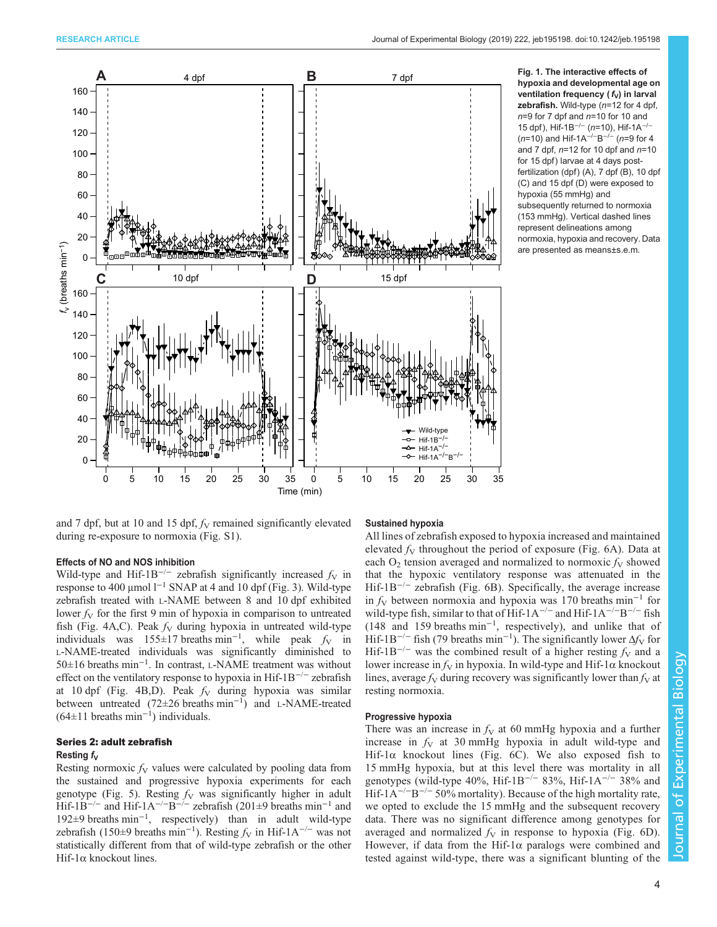<span id="page-3-0"></span>

Fig. 1. The interactive effects of hypoxia and developmental age on ventilation frequency ( $f_V$ ) in larval zebrafish. Wild-type  $(n=12$  for 4 dpf,  $n=9$  for 7 dpf and  $n=10$  for 10 and 15 dpf), Hif-1B<sup>-/-</sup> (n=10), Hif-1A<sup>-/-</sup> (n=10) and Hif-1A<sup>-/-</sup>B<sup>-/-</sup> (n=9 for 4 and 7 dpf,  $n=12$  for 10 dpf and  $n=10$ for 15 dpf) larvae at 4 days postfertilization (dpf) (A), 7 dpf (B), 10 dpf (C) and 15 dpf (D) were exposed to hypoxia (55 mmHg) and subsequently returned to normoxia (153 mmHg). Vertical dashed lines represent delineations among normoxia, hypoxia and recovery. Data are presented as means±s.e.m.

and 7 dpf, but at 10 and 15 dpf,  $f_V$  remained significantly elevated during re-exposure to normoxia ([Fig. S1](http://jeb.biologists.org/lookup/doi/10.1242/jeb.195198.supplemental)).

# Effects of NO and NOS inhibition

Wild-type and Hif-1B<sup>-/-</sup> zebrafish significantly increased  $f_V$  in response to 400 μmol l−<sup>1</sup> SNAP at 4 and 10 dpf [\(Fig. 3](#page-5-0)). Wild-type zebrafish treated with L-NAME between 8 and 10 dpf exhibited lower  $f_V$  for the first 9 min of hypoxia in comparison to untreated fish [\(Fig. 4A](#page-5-0),C). Peak  $f_V$  during hypoxia in untreated wild-type individuals was 155±17 breaths min<sup>-1</sup>, while peak  $f_V$  in L-NAME-treated individuals was significantly diminished to 50±16 breaths min−<sup>1</sup> . In contrast, L-NAME treatment was without effect on the ventilatory response to hypoxia in Hif-1B−/<sup>−</sup> zebrafish at 10 dpf ([Fig. 4](#page-5-0)B,D). Peak  $f_V$  during hypoxia was similar between untreated (72±26 breaths min−<sup>1</sup> ) and L-NAME-treated  $(64\pm11$  breaths min<sup>-1</sup>) individuals.

# Series 2: adult zebrafish

# Resting  $f_V$

Resting normoxic  $f_V$  values were calculated by pooling data from the sustained and progressive hypoxia experiments for each genotype [\(Fig. 5\)](#page-6-0). Resting  $f<sub>V</sub>$  was significantly higher in adult Hif-1B<sup>-/−</sup> and Hif-1A<sup>-/−</sup>B<sup>-/−</sup> zebrafish (201±9 breaths min<sup>-1</sup> and 192±9 breaths min−<sup>1</sup> , respectively) than in adult wild-type zebrafish (150±9 breaths min<sup>-1</sup>). Resting  $f_V$  in Hif-1A<sup>-/-</sup> was not statistically different from that of wild-type zebrafish or the other Hif-1α knockout lines.

## Sustained hypoxia

All lines of zebrafish exposed to hypoxia increased and maintained elevated  $f_V$  throughout the period of exposure [\(Fig. 6A](#page-6-0)). Data at each  $O<sub>2</sub>$  tension averaged and normalized to normoxic  $f<sub>V</sub>$  showed that the hypoxic ventilatory response was attenuated in the Hif-1B−/<sup>−</sup> zebrafish [\(Fig. 6B](#page-6-0)). Specifically, the average increase in  $f<sub>V</sub>$  between normoxia and hypoxia was 170 breaths min<sup>-1</sup> for wild-type fish, similar to that of Hif-1A<sup>-/-</sup> and Hif-1A<sup>-/-</sup>B<sup>-/-</sup> fish (148 and 159 breaths min−<sup>1</sup> , respectively), and unlike that of Hif-1B<sup>-/−</sup> fish (79 breaths min<sup>-1</sup>). The significantly lower  $\Delta f_V$  for Hif-1B<sup>-/−</sup> was the combined result of a higher resting  $f_V$  and a lower increase in  $f_V$  in hypoxia. In wild-type and Hif-1 $\alpha$  knockout lines, average  $f_V$  during recovery was significantly lower than  $f_V$  at resting normoxia.

## Progressive hypoxia

There was an increase in  $f_V$  at 60 mmHg hypoxia and a further increase in  $f_V$  at 30 mmHg hypoxia in adult wild-type and Hif-1 $\alpha$  knockout lines ([Fig. 6C](#page-6-0)). We also exposed fish to 15 mmHg hypoxia, but at this level there was mortality in all genotypes (wild-type 40%, Hif-1B<sup>-/−</sup> 83%, Hif-1A<sup>-/−</sup> 38% and Hif-1A<sup>- $/-$ </sup>B<sup>- $/-$ </sup> 50% mortality). Because of the high mortality rate, we opted to exclude the 15 mmHg and the subsequent recovery data. There was no significant difference among genotypes for averaged and normalized  $f_V$  in response to hypoxia [\(Fig. 6D](#page-6-0)). However, if data from the Hif-1 $\alpha$  paralogs were combined and tested against wild-type, there was a significant blunting of the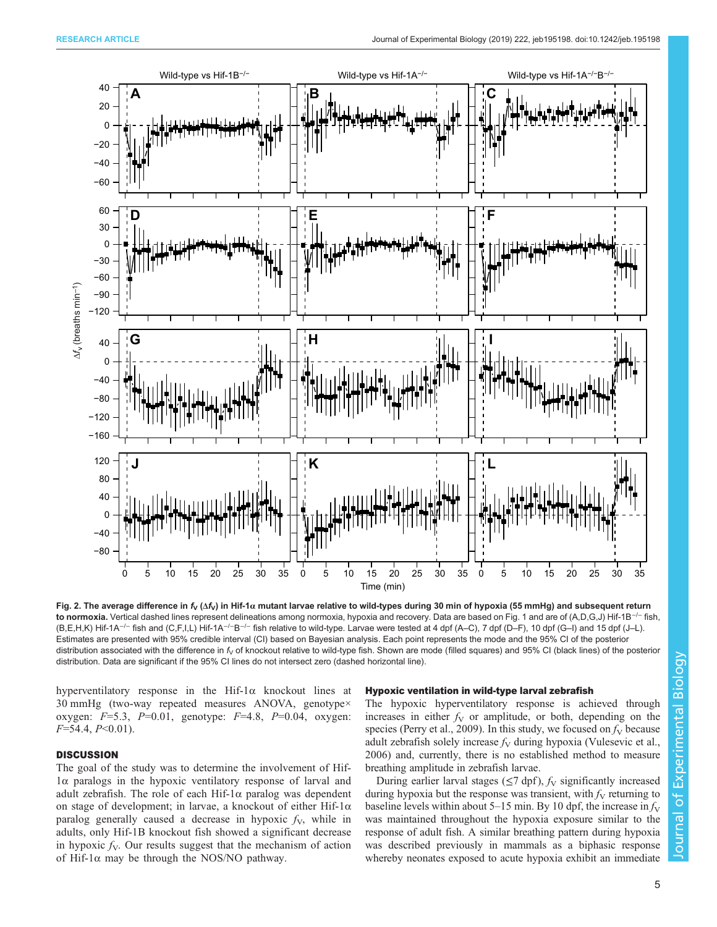<span id="page-4-0"></span>

Fig. 2. The average difference in  $f_V(\Delta f_V)$  in Hif-1α mutant larvae relative to wild-types during 30 min of hypoxia (55 mmHg) and subsequent return to normoxia. Vertical dashed lines represent delineations among normoxia, hypoxia and recovery. Data are based on Fig. 1 and are of (A,D,G,J) Hif-1B<sup>-/−</sup> fish, (B,E,H,K) Hif-1A−/<sup>−</sup> fish and (C,F,I,L) Hif-1A−/−B−/<sup>−</sup> fish relative to wild-type. Larvae were tested at 4 dpf (A–C), 7 dpf (D–F), 10 dpf (G–I) and 15 dpf (J–L). Estimates are presented with 95% credible interval (CI) based on Bayesian analysis. Each point represents the mode and the 95% CI of the posterior distribution associated with the difference in  $f<sub>V</sub>$  of knockout relative to wild-type fish. Shown are mode (filled squares) and 95% CI (black lines) of the posterior distribution. Data are significant if the 95% CI lines do not intersect zero (dashed horizontal line).

hyperventilatory response in the Hif-1α knockout lines at 30 mmHg (two-way repeated measures ANOVA, genotype× oxygen:  $F=5.3$ ,  $P=0.01$ , genotype:  $F=4.8$ ,  $P=0.04$ , oxygen:  $F=54.4, P<0.01$ ).

# **DISCUSSION**

The goal of the study was to determine the involvement of Hif-1α paralogs in the hypoxic ventilatory response of larval and adult zebrafish. The role of each Hif- $1\alpha$  paralog was dependent on stage of development; in larvae, a knockout of either Hif-1α paralog generally caused a decrease in hypoxic  $f_v$ , while in adults, only Hif-1B knockout fish showed a significant decrease in hypoxic  $f_V$ . Our results suggest that the mechanism of action of Hif-1 $\alpha$  may be through the NOS/NO pathway.

### Hypoxic ventilation in wild-type larval zebrafish

The hypoxic hyperventilatory response is achieved through increases in either  $f_V$  or amplitude, or both, depending on the species ([Perry et al., 2009\)](#page-9-0). In this study, we focused on  $f_V$  because adult zebrafish solely increase  $f_V$  during hypoxia ([Vulesevic et al.,](#page-9-0) [2006\)](#page-9-0) and, currently, there is no established method to measure breathing amplitude in zebrafish larvae.

During earlier larval stages ( $\leq$ 7 dpf),  $f<sub>V</sub>$  significantly increased during hypoxia but the response was transient, with  $f_V$  returning to baseline levels within about 5–15 min. By 10 dpf, the increase in  $f_V$ was maintained throughout the hypoxia exposure similar to the response of adult fish. A similar breathing pattern during hypoxia was described previously in mammals as a biphasic response whereby neonates exposed to acute hypoxia exhibit an immediate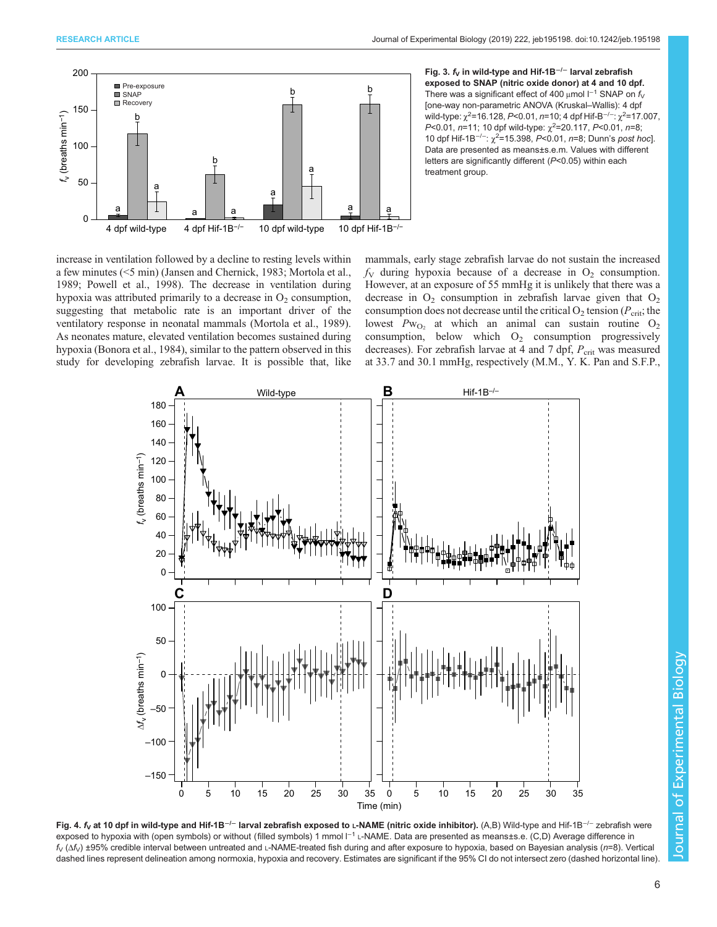<span id="page-5-0"></span>

Fig. 3.  $f<sub>V</sub>$  in wild-type and Hif-1B<sup>-/−</sup> larval zebrafish exposed to SNAP (nitric oxide donor) at 4 and 10 dpf. There was a significant effect of 400 µmol  $I^{-1}$  SNAP on  $f_V$ [one-way non-parametric ANOVA (Kruskal–Wallis): 4 dpf wild-type:  $\chi^2$ =16.128, P<0.01, *n*=10; 4 dpf Hif-B<sup>–/–</sup>:  $\chi^2$ =17.007, P<0.01, n=11; 10 dpf wild-type:  $\chi^2$ =20.117, P<0.01, n=8; 10 dpf Hif-1B<sup>-/-</sup>: χ<sup>2</sup>=15.398, P<0.01, n=8; Dunn's post hoc]. Data are presented as means±s.e.m. Values with different letters are significantly different (P<0.05) within each treatment group.

increase in ventilation followed by a decline to resting levels within a few minutes (<5 min) ([Jansen and Chernick, 1983](#page-9-0); [Mortola et al.,](#page-9-0) [1989](#page-9-0); [Powell et al., 1998\)](#page-9-0). The decrease in ventilation during hypoxia was attributed primarily to a decrease in  $O_2$  consumption, suggesting that metabolic rate is an important driver of the ventilatory response in neonatal mammals ([Mortola et al., 1989\)](#page-9-0). As neonates mature, elevated ventilation becomes sustained during hypoxia ([Bonora et al., 1984\)](#page-9-0), similar to the pattern observed in this study for developing zebrafish larvae. It is possible that, like

mammals, early stage zebrafish larvae do not sustain the increased  $f<sub>V</sub>$  during hypoxia because of a decrease in O<sub>2</sub> consumption. However, at an exposure of 55 mmHg it is unlikely that there was a decrease in  $O_2$  consumption in zebrafish larvae given that  $O_2$ consumption does not decrease until the critical  $O_2$  tension ( $P_{\rm crit}$ ; the lowest  $Pw_{O_2}$  at which an animal can sustain routine  $O_2$ consumption, below which  $O_2$  consumption progressively decreases). For zebrafish larvae at 4 and 7 dpf,  $P_{\text{crit}}$  was measured at 33.7 and 30.1 mmHg, respectively (M.M., Y. K. Pan and S.F.P.,



Fig. 4. f<sub>v</sub> at 10 dpf in wild-type and Hif-1B<sup>-/−</sup> larval zebrafish exposed to L-NAME (nitric oxide inhibitor). (A,B) Wild-type and Hif-1B<sup>-/−</sup> zebrafish were exposed to hypoxia with (open symbols) or without (filled symbols) 1 mmol l<sup>−1</sup> L-NAME. Data are presented as means±s.e. (C,D) Average difference in  $f_V(\Delta f_V)$  ±95% credible interval between untreated and L-NAME-treated fish during and after exposure to hypoxia, based on Bayesian analysis (n=8). Vertical dashed lines represent delineation among normoxia, hypoxia and recovery. Estimates are significant if the 95% CI do not intersect zero (dashed horizontal line)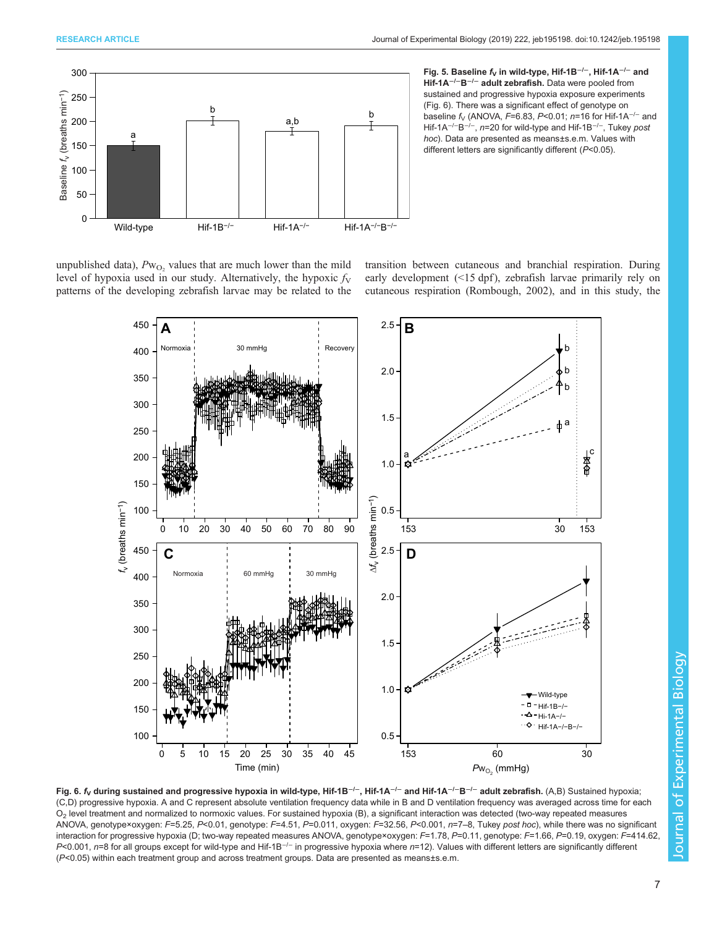<span id="page-6-0"></span>

Fig. 5. Baseline f<sub>v</sub> in wild-type, Hif-1B<sup>-/-</sup>, Hif-1A<sup>-/-</sup> and Hif-1A<sup>-/-</sup>B<sup>-/-</sup> adult zebrafish. Data were pooled from sustained and progressive hypoxia exposure experiments (Fig. 6). There was a significant effect of genotype on baseline  $f_V$  (ANOVA, F=6.83, P<0.01; n=16 for Hif-1A<sup>-/-</sup> and Hif-1A<sup>-/−</sup>B<sup>-/−</sup>, n=20 for wild-type and Hif-1B<sup>-/−</sup>, Tukey post hoc). Data are presented as means±s.e.m. Values with different letters are significantly different (P<0.05).

unpublished data),  $Pw_{O_2}$  values that are much lower than the mild level of hypoxia used in our study. Alternatively, the hypoxic  $f_V$ patterns of the developing zebrafish larvae may be related to the

transition between cutaneous and branchial respiration. During early development  $(\leq 15 \text{ dpf})$ , zebrafish larvae primarily rely on cutaneous respiration ([Rombough, 2002\)](#page-9-0), and in this study, the



Fig. 6. f<sub>V</sub> during sustained and progressive hypoxia in wild-type, Hif-1B<sup>-/-</sup>, Hif-1A<sup>-/-</sup> and Hif-1A<sup>-/-</sup>B<sup>-/-</sup> adult zebrafish. (A,B) Sustained hypoxia; (C,D) progressive hypoxia. A and C represent absolute ventilation frequency data while in B and D ventilation frequency was averaged across time for each O2 level treatment and normalized to normoxic values. For sustained hypoxia (B), a significant interaction was detected (two-way repeated measures ANOVA, genotype×oxygen: F=5.25, P<0.01, genotype: F=4.51, P=0.011, oxygen: F=32.56, P<0.001, n=7–8, Tukey post hoc), while there was no significant interaction for progressive hypoxia (D; two-way repeated measures ANOVA, genotype×oxygen: F=1.78, P=0.11, genotype: F=1.66, P=0.19, oxygen: F=414.62, P<0.001, n=8 for all groups except for wild-type and Hif-1B<sup>-/-</sup> in progressive hypoxia where n=12). Values with different letters are significantly different (P<0.05) within each treatment group and across treatment groups. Data are presented as means±s.e.m.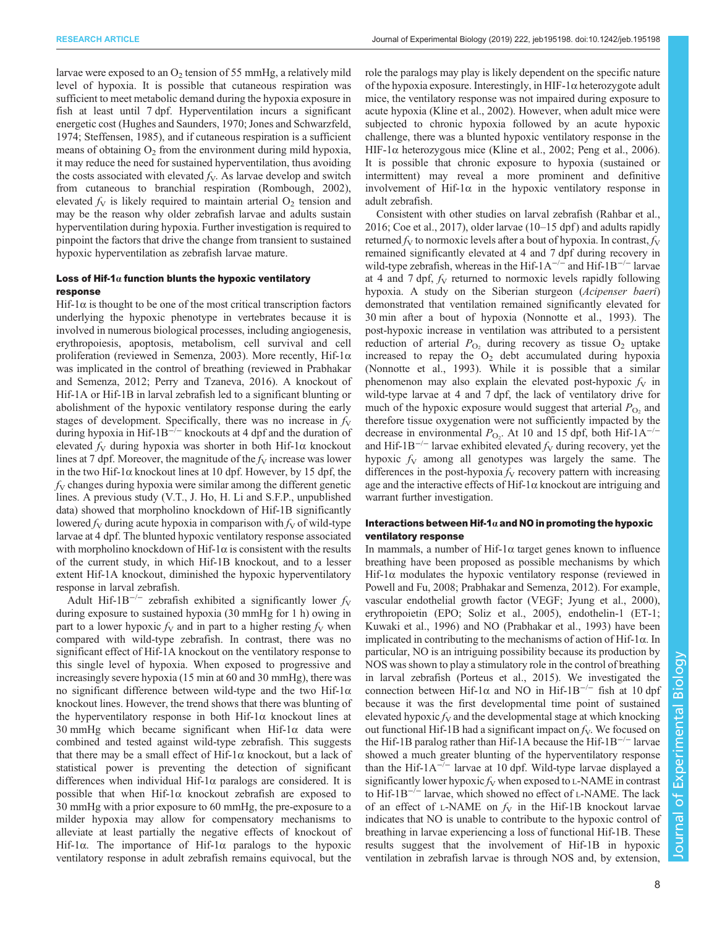larvae were exposed to an  $O<sub>2</sub>$  tension of 55 mmHg, a relatively mild level of hypoxia. It is possible that cutaneous respiration was sufficient to meet metabolic demand during the hypoxia exposure in fish at least until 7 dpf. Hyperventilation incurs a significant energetic cost [\(Hughes and Saunders, 1970](#page-9-0); [Jones and Schwarzfeld,](#page-9-0) [1974](#page-9-0); [Steffensen, 1985](#page-9-0)), and if cutaneous respiration is a sufficient means of obtaining  $O<sub>2</sub>$  from the environment during mild hypoxia, it may reduce the need for sustained hyperventilation, thus avoiding the costs associated with elevated  $f<sub>V</sub>$ . As larvae develop and switch from cutaneous to branchial respiration ([Rombough, 2002\)](#page-9-0), elevated  $f_V$  is likely required to maintain arterial  $O_2$  tension and may be the reason why older zebrafish larvae and adults sustain hyperventilation during hypoxia. Further investigation is required to pinpoint the factors that drive the change from transient to sustained hypoxic hyperventilation as zebrafish larvae mature.

# Loss of Hif-1 $\alpha$  function blunts the hypoxic ventilatory response

Hif- $1\alpha$  is thought to be one of the most critical transcription factors underlying the hypoxic phenotype in vertebrates because it is involved in numerous biological processes, including angiogenesis, erythropoiesis, apoptosis, metabolism, cell survival and cell proliferation (reviewed in [Semenza, 2003\)](#page-9-0). More recently, Hif-1 $\alpha$ was implicated in the control of breathing (reviewed in [Prabhakar](#page-9-0) [and Semenza, 2012; Perry and Tzaneva, 2016](#page-9-0)). A knockout of Hif-1A or Hif-1B in larval zebrafish led to a significant blunting or abolishment of the hypoxic ventilatory response during the early stages of development. Specifically, there was no increase in  $f_V$ during hypoxia in Hif-1B−/<sup>−</sup> knockouts at 4 dpf and the duration of elevated  $f_V$  during hypoxia was shorter in both Hif-1 $\alpha$  knockout lines at 7 dpf. Moreover, the magnitude of the  $f_V$  increase was lower in the two Hif-1 $\alpha$  knockout lines at 10 dpf. However, by 15 dpf, the  $f<sub>V</sub>$  changes during hypoxia were similar among the different genetic lines. A previous study (V.T., J. Ho, H. Li and S.F.P., unpublished data) showed that morpholino knockdown of Hif-1B significantly lowered  $f_V$  during acute hypoxia in comparison with  $f_V$  of wild-type larvae at 4 dpf. The blunted hypoxic ventilatory response associated with morpholino knockdown of Hif-1 $\alpha$  is consistent with the results of the current study, in which Hif-1B knockout, and to a lesser extent Hif-1A knockout, diminished the hypoxic hyperventilatory response in larval zebrafish.

Adult Hif-1B<sup>-/-</sup> zebrafish exhibited a significantly lower  $f_V$ during exposure to sustained hypoxia (30 mmHg for 1 h) owing in part to a lower hypoxic  $f_V$  and in part to a higher resting  $f_V$  when compared with wild-type zebrafish. In contrast, there was no significant effect of Hif-1A knockout on the ventilatory response to this single level of hypoxia. When exposed to progressive and increasingly severe hypoxia (15 min at 60 and 30 mmHg), there was no significant difference between wild-type and the two Hif-1α knockout lines. However, the trend shows that there was blunting of the hyperventilatory response in both Hif-1 $\alpha$  knockout lines at 30 mmHg which became significant when Hif-1 $\alpha$  data were combined and tested against wild-type zebrafish. This suggests that there may be a small effect of Hif-1α knockout, but a lack of statistical power is preventing the detection of significant differences when individual Hif-1 $\alpha$  paralogs are considered. It is possible that when Hif-1α knockout zebrafish are exposed to 30 mmHg with a prior exposure to 60 mmHg, the pre-exposure to a milder hypoxia may allow for compensatory mechanisms to alleviate at least partially the negative effects of knockout of Hif-1 $\alpha$ . The importance of Hif-1 $\alpha$  paralogs to the hypoxic ventilatory response in adult zebrafish remains equivocal, but the

role the paralogs may play is likely dependent on the specific nature of the hypoxia exposure. Interestingly, in HIF-1 $\alpha$  heterozygote adult mice, the ventilatory response was not impaired during exposure to acute hypoxia ([Kline et al., 2002](#page-9-0)). However, when adult mice were subjected to chronic hypoxia followed by an acute hypoxic challenge, there was a blunted hypoxic ventilatory response in the HIF-1 $\alpha$  heterozygous mice ([Kline et al., 2002; Peng et al., 2006\)](#page-9-0). It is possible that chronic exposure to hypoxia (sustained or intermittent) may reveal a more prominent and definitive involvement of Hif- $1\alpha$  in the hypoxic ventilatory response in adult zebrafish.

Consistent with other studies on larval zebrafish ([Rahbar et al.,](#page-9-0) [2016; Coe et al., 2017\)](#page-9-0), older larvae (10–15 dpf ) and adults rapidly returned  $f_V$  to normoxic levels after a bout of hypoxia. In contrast,  $f_V$ remained significantly elevated at 4 and 7 dpf during recovery in wild-type zebrafish, whereas in the Hif-1A<sup> $-/-$ </sup> and Hif-1B<sup> $-/-$ </sup> larvae at 4 and 7 dpf,  $f_V$  returned to normoxic levels rapidly following hypoxia. A study on the Siberian sturgeon (*Acipenser baeri*) demonstrated that ventilation remained significantly elevated for 30 min after a bout of hypoxia ([Nonnotte et al., 1993\)](#page-9-0). The post-hypoxic increase in ventilation was attributed to a persistent reduction of arterial  $P_{\text{O}_2}$  during recovery as tissue  $\text{O}_2$  uptake increased to repay the  $O<sub>2</sub>$  debt accumulated during hypoxia [\(Nonnotte et al., 1993\)](#page-9-0). While it is possible that a similar phenomenon may also explain the elevated post-hypoxic  $f_V$  in wild-type larvae at 4 and 7 dpf, the lack of ventilatory drive for much of the hypoxic exposure would suggest that arterial  $P_{\text{O}_2}$  and therefore tissue oxygenation were not sufficiently impacted by the decrease in environmental  $P_{\text{O}_2}$ . At 10 and 15 dpf, both Hif-1A<sup>-/-</sup> and Hif-1B<sup>-/−</sup> larvae exhibited elevated  $f<sub>V</sub>$  during recovery, yet the hypoxic  $f_V$  among all genotypes was largely the same. The differences in the post-hypoxia  $f_V$  recovery pattern with increasing age and the interactive effects of Hif- $1\alpha$  knockout are intriguing and warrant further investigation.

# Interactions between Hif-1 $\alpha$  and NO in promoting the hypoxic ventilatory response

In mammals, a number of Hif-1 $\alpha$  target genes known to influence breathing have been proposed as possible mechanisms by which Hif-1 $\alpha$  modulates the hypoxic ventilatory response (reviewed in [Powell and Fu, 2008](#page-9-0); [Prabhakar and Semenza, 2012](#page-9-0)). For example, vascular endothelial growth factor (VEGF; [Jyung et al., 2000\)](#page-9-0), erythropoietin (EPO; [Soliz et al., 2005](#page-9-0)), endothelin-1 (ET-1; [Kuwaki et al., 1996](#page-9-0)) and NO [\(Prabhakar et al., 1993\)](#page-9-0) have been implicated in contributing to the mechanisms of action of Hif-1α. In particular, NO is an intriguing possibility because its production by NOS was shown to play a stimulatory role in the control of breathing in larval zebrafish [\(Porteus et al., 2015\)](#page-9-0). We investigated the connection between Hif-1 $\alpha$  and NO in Hif-1B<sup>-/−</sup> fish at 10 dpf because it was the first developmental time point of sustained elevated hypoxic  $f_V$  and the developmental stage at which knocking out functional Hif-1B had a significant impact on  $f_v$ . We focused on the Hif-1B paralog rather than Hif-1A because the Hif-1B−/<sup>−</sup> larvae showed a much greater blunting of the hyperventilatory response than the Hif- $1A^{-/-}$  larvae at 10 dpf. Wild-type larvae displayed a significantly lower hypoxic  $f_V$  when exposed to L-NAME in contrast to Hif-1B−/<sup>−</sup> larvae, which showed no effect of L-NAME. The lack of an effect of L-NAME on  $f_V$  in the Hif-1B knockout larvae indicates that NO is unable to contribute to the hypoxic control of breathing in larvae experiencing a loss of functional Hif-1B. These results suggest that the involvement of Hif-1B in hypoxic ventilation in zebrafish larvae is through NOS and, by extension,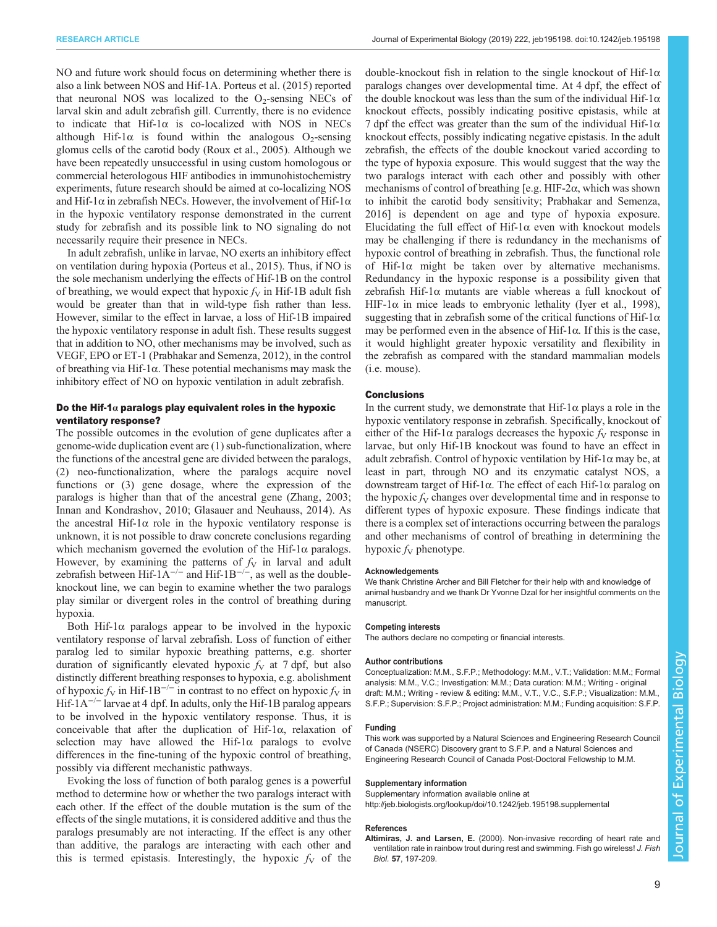<span id="page-8-0"></span>NO and future work should focus on determining whether there is also a link between NOS and Hif-1A. [Porteus et al. \(2015\)](#page-9-0) reported that neuronal NOS was localized to the  $O<sub>2</sub>$ -sensing NECs of larval skin and adult zebrafish gill. Currently, there is no evidence to indicate that Hif-1α is co-localized with NOS in NECs although Hif-1 $\alpha$  is found within the analogous O<sub>2</sub>-sensing glomus cells of the carotid body ([Roux et al., 2005\)](#page-9-0). Although we have been repeatedly unsuccessful in using custom homologous or commercial heterologous HIF antibodies in immunohistochemistry experiments, future research should be aimed at co-localizing NOS and Hif-1 $\alpha$  in zebrafish NECs. However, the involvement of Hif-1 $\alpha$ in the hypoxic ventilatory response demonstrated in the current study for zebrafish and its possible link to NO signaling do not necessarily require their presence in NECs.

In adult zebrafish, unlike in larvae, NO exerts an inhibitory effect on ventilation during hypoxia [\(Porteus et al., 2015\)](#page-9-0). Thus, if NO is the sole mechanism underlying the effects of Hif-1B on the control of breathing, we would expect that hypoxic  $f_V$  in Hif-1B adult fish would be greater than that in wild-type fish rather than less. However, similar to the effect in larvae, a loss of Hif-1B impaired the hypoxic ventilatory response in adult fish. These results suggest that in addition to NO, other mechanisms may be involved, such as VEGF, EPO or ET-1 [\(Prabhakar and Semenza, 2012](#page-9-0)), in the control of breathing via Hif-1α. These potential mechanisms may mask the inhibitory effect of NO on hypoxic ventilation in adult zebrafish.

# Do the Hif-1 $\alpha$  paralogs play equivalent roles in the hypoxic ventilatory response?

The possible outcomes in the evolution of gene duplicates after a genome-wide duplication event are (1) sub-functionalization, where the functions of the ancestral gene are divided between the paralogs, (2) neo-functionalization, where the paralogs acquire novel functions or (3) gene dosage, where the expression of the paralogs is higher than that of the ancestral gene ([Zhang, 2003](#page-9-0); [Innan and Kondrashov, 2010](#page-9-0); [Glasauer and Neuhauss, 2014\)](#page-9-0). As the ancestral Hif-1 $\alpha$  role in the hypoxic ventilatory response is unknown, it is not possible to draw concrete conclusions regarding which mechanism governed the evolution of the Hif-1 $\alpha$  paralogs. However, by examining the patterns of  $f_V$  in larval and adult zebrafish between Hif- $1A^{-/-}$  and Hif- $1B^{-/-}$ , as well as the doubleknockout line, we can begin to examine whether the two paralogs play similar or divergent roles in the control of breathing during hypoxia.

Both Hif-1 $\alpha$  paralogs appear to be involved in the hypoxic ventilatory response of larval zebrafish. Loss of function of either paralog led to similar hypoxic breathing patterns, e.g. shorter duration of significantly elevated hypoxic  $f_V$  at 7 dpf, but also distinctly different breathing responses to hypoxia, e.g. abolishment of hypoxic  $f_V$  in Hif-1B<sup>-/−</sup> in contrast to no effect on hypoxic  $f_V$  in Hif-1A<sup> $-/-$ </sup> larvae at 4 dpf. In adults, only the Hif-1B paralog appears to be involved in the hypoxic ventilatory response. Thus, it is conceivable that after the duplication of Hif-1α, relaxation of selection may have allowed the Hif-1 $\alpha$  paralogs to evolve differences in the fine-tuning of the hypoxic control of breathing, possibly via different mechanistic pathways.

Evoking the loss of function of both paralog genes is a powerful method to determine how or whether the two paralogs interact with each other. If the effect of the double mutation is the sum of the effects of the single mutations, it is considered additive and thus the paralogs presumably are not interacting. If the effect is any other than additive, the paralogs are interacting with each other and this is termed epistasis. Interestingly, the hypoxic  $f<sub>V</sub>$  of the

double-knockout fish in relation to the single knockout of Hif-1α paralogs changes over developmental time. At 4 dpf, the effect of the double knockout was less than the sum of the individual Hif- $1\alpha$ knockout effects, possibly indicating positive epistasis, while at 7 dpf the effect was greater than the sum of the individual Hif-1 $\alpha$ knockout effects, possibly indicating negative epistasis. In the adult zebrafish, the effects of the double knockout varied according to the type of hypoxia exposure. This would suggest that the way the two paralogs interact with each other and possibly with other mechanisms of control of breathing [e.g. HIF-2α, which was shown to inhibit the carotid body sensitivity; [Prabhakar and Semenza,](#page-9-0) [2016\]](#page-9-0) is dependent on age and type of hypoxia exposure. Elucidating the full effect of Hif-1 $\alpha$  even with knockout models may be challenging if there is redundancy in the mechanisms of hypoxic control of breathing in zebrafish. Thus, the functional role of Hif-1 $\alpha$  might be taken over by alternative mechanisms. Redundancy in the hypoxic response is a possibility given that zebrafish Hif-1 $\alpha$  mutants are viable whereas a full knockout of HIF-1 $\alpha$  in mice leads to embryonic lethality (Iver et al., 1998), suggesting that in zebrafish some of the critical functions of Hif- $1\alpha$ may be performed even in the absence of Hif-1 $\alpha$ . If this is the case, it would highlight greater hypoxic versatility and flexibility in the zebrafish as compared with the standard mammalian models (i.e. mouse).

## **Conclusions**

In the current study, we demonstrate that Hif- $1\alpha$  plays a role in the hypoxic ventilatory response in zebrafish. Specifically, knockout of either of the Hif-1 $\alpha$  paralogs decreases the hypoxic  $f_V$  response in larvae, but only Hif-1B knockout was found to have an effect in adult zebrafish. Control of hypoxic ventilation by Hif-1 $\alpha$  may be, at least in part, through NO and its enzymatic catalyst NOS, a downstream target of Hif-1α. The effect of each Hif-1α paralog on the hypoxic  $f_V$  changes over developmental time and in response to different types of hypoxic exposure. These findings indicate that there is a complex set of interactions occurring between the paralogs and other mechanisms of control of breathing in determining the hypoxic  $f_V$  phenotype.

## Acknowledgements

We thank Christine Archer and Bill Fletcher for their help with and knowledge of animal husbandry and we thank Dr Yvonne Dzal for her insightful comments on the manuscript.

#### Competing interests

The authors declare no competing or financial interests.

### Author contributions

Conceptualization: M.M., S.F.P.; Methodology: M.M., V.T.; Validation: M.M.; Formal analysis: M.M., V.C.; Investigation: M.M.; Data curation: M.M.; Writing - original draft: M.M.; Writing - review & editing: M.M., V.T., V.C., S.F.P.; Visualization: M.M., S.F.P.; Supervision: S.F.P.; Project administration: M.M.; Funding acquisition: S.F.P.

#### Funding

This work was supported by a Natural Sciences and Engineering Research Council of Canada (NSERC) Discovery grant to S.F.P. and a Natural Sciences and Engineering Research Council of Canada Post-Doctoral Fellowship to M.M.

#### Supplementary information

Supplementary information available online at <http://jeb.biologists.org/lookup/doi/10.1242/jeb.195198.supplemental>

#### References

Altimiras, J. and Larsen, E. [\(2000\). Non-invasive recording of heart rate and](https://doi.org/10.1111/j.1095-8649.2000.tb00786.x) [ventilation rate in rainbow trout during rest and swimming. Fish go wireless!](https://doi.org/10.1111/j.1095-8649.2000.tb00786.x) J. Fish Biol. 57[, 197-209.](https://doi.org/10.1111/j.1095-8649.2000.tb00786.x)